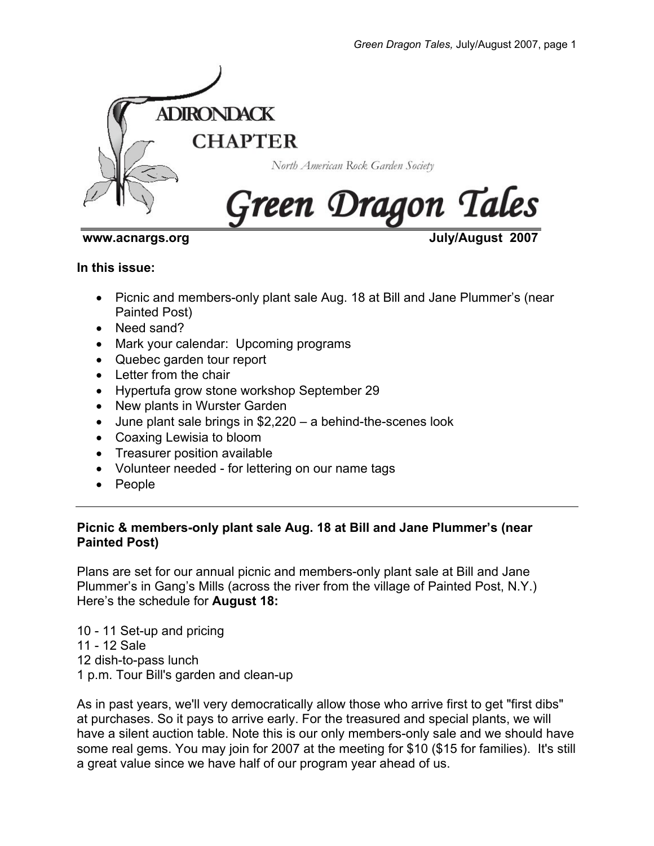

www.acnargs.org **View Strategies 2007** 

#### **In this issue:**

- Picnic and members-only plant sale Aug. 18 at Bill and Jane Plummer's (near Painted Post)
- Need sand?
- Mark your calendar: Upcoming programs
- Quebec garden tour report
- Letter from the chair
- Hypertufa grow stone workshop September 29
- New plants in Wurster Garden
- June plant sale brings in \$2,220 a behind-the-scenes look
- Coaxing Lewisia to bloom
- Treasurer position available
- Volunteer needed for lettering on our name tags
- People

#### **Picnic & members-only plant sale Aug. 18 at Bill and Jane Plummer's (near Painted Post)**

Plans are set for our annual picnic and members-only plant sale at Bill and Jane Plummer's in Gang's Mills (across the river from the village of Painted Post, N.Y.) Here's the schedule for **August 18:** 

10 - 11 Set-up and pricing 11 - 12 Sale 12 dish-to-pass lunch 1 p.m. Tour Bill's garden and clean-up

As in past years, we'll very democratically allow those who arrive first to get "first dibs" at purchases. So it pays to arrive early. For the treasured and special plants, we will have a silent auction table. Note this is our only members-only sale and we should have some real gems. You may join for 2007 at the meeting for \$10 (\$15 for families). It's still a great value since we have half of our program year ahead of us.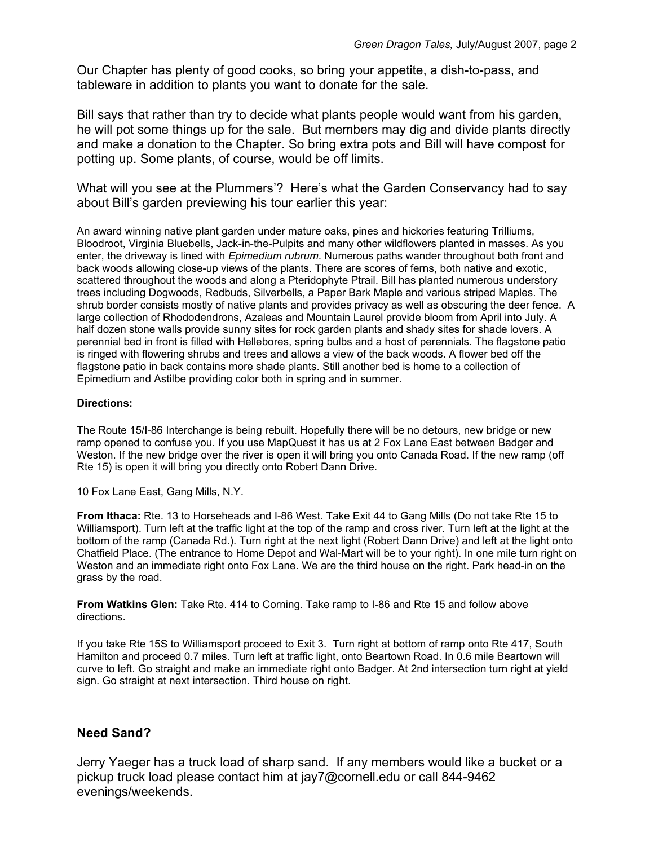Our Chapter has plenty of good cooks, so bring your appetite, a dish-to-pass, and tableware in addition to plants you want to donate for the sale.

Bill says that rather than try to decide what plants people would want from his garden, he will pot some things up for the sale. But members may dig and divide plants directly and make a donation to the Chapter. So bring extra pots and Bill will have compost for potting up. Some plants, of course, would be off limits.

What will you see at the Plummers'? Here's what the Garden Conservancy had to say about Bill's garden previewing his tour earlier this year:

An award winning native plant garden under mature oaks, pines and hickories featuring Trilliums, Bloodroot, Virginia Bluebells, Jack-in-the-Pulpits and many other wildflowers planted in masses. As you enter, the driveway is lined with *Epimedium rubrum*. Numerous paths wander throughout both front and back woods allowing close-up views of the plants. There are scores of ferns, both native and exotic, scattered throughout the woods and along a Pteridophyte Ptrail. Bill has planted numerous understory trees including Dogwoods, Redbuds, Silverbells, a Paper Bark Maple and various striped Maples. The shrub border consists mostly of native plants and provides privacy as well as obscuring the deer fence. A large collection of Rhododendrons, Azaleas and Mountain Laurel provide bloom from April into July. A half dozen stone walls provide sunny sites for rock garden plants and shady sites for shade lovers. A perennial bed in front is filled with Hellebores, spring bulbs and a host of perennials. The flagstone patio is ringed with flowering shrubs and trees and allows a view of the back woods. A flower bed off the flagstone patio in back contains more shade plants. Still another bed is home to a collection of Epimedium and Astilbe providing color both in spring and in summer.

#### **Directions:**

The Route 15/I-86 Interchange is being rebuilt. Hopefully there will be no detours, new bridge or new ramp opened to confuse you. If you use MapQuest it has us at 2 Fox Lane East between Badger and Weston. If the new bridge over the river is open it will bring you onto Canada Road. If the new ramp (off Rte 15) is open it will bring you directly onto Robert Dann Drive.

10 Fox Lane East, Gang Mills, N.Y.

**From Ithaca:** Rte. 13 to Horseheads and I-86 West. Take Exit 44 to Gang Mills (Do not take Rte 15 to Williamsport). Turn left at the traffic light at the top of the ramp and cross river. Turn left at the light at the bottom of the ramp (Canada Rd.). Turn right at the next light (Robert Dann Drive) and left at the light onto Chatfield Place. (The entrance to Home Depot and Wal-Mart will be to your right). In one mile turn right on Weston and an immediate right onto Fox Lane. We are the third house on the right. Park head-in on the grass by the road.

**From Watkins Glen:** Take Rte. 414 to Corning. Take ramp to I-86 and Rte 15 and follow above directions.

If you take Rte 15S to Williamsport proceed to Exit 3. Turn right at bottom of ramp onto Rte 417, South Hamilton and proceed 0.7 miles. Turn left at traffic light, onto Beartown Road. In 0.6 mile Beartown will curve to left. Go straight and make an immediate right onto Badger. At 2nd intersection turn right at yield sign. Go straight at next intersection. Third house on right.

#### **Need Sand?**

Jerry Yaeger has a truck load of sharp sand. If any members would like a bucket or a pickup truck load please contact him at jay7@cornell.edu or call 844-9462 evenings/weekends.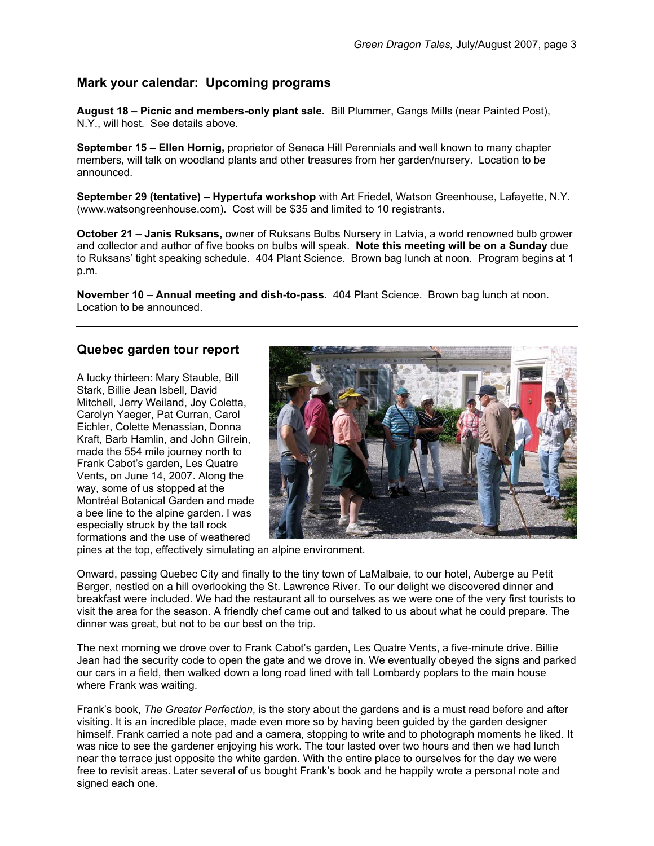#### **Mark your calendar: Upcoming programs**

**August 18 – Picnic and members-only plant sale.** Bill Plummer, Gangs Mills (near Painted Post), N.Y., will host. See details above.

**September 15 – Ellen Hornig,** proprietor of Seneca Hill Perennials and well known to many chapter members, will talk on woodland plants and other treasures from her garden/nursery. Location to be announced.

**September 29 (tentative) – Hypertufa workshop** with Art Friedel, Watson Greenhouse, Lafayette, N.Y. (www.watsongreenhouse.com). Cost will be \$35 and limited to 10 registrants.

**October 21 – Janis Ruksans,** owner of Ruksans Bulbs Nursery in Latvia, a world renowned bulb grower and collector and author of five books on bulbs will speak. **Note this meeting will be on a Sunday** due to Ruksans' tight speaking schedule. 404 Plant Science. Brown bag lunch at noon. Program begins at 1 p.m.

**November 10 – Annual meeting and dish-to-pass.** 404 Plant Science. Brown bag lunch at noon. Location to be announced.

#### **Quebec garden tour report**

A lucky thirteen: Mary Stauble, Bill Stark, Billie Jean Isbell, David Mitchell, Jerry Weiland, Joy Coletta, Carolyn Yaeger, Pat Curran, Carol Eichler, Colette Menassian, Donna Kraft, Barb Hamlin, and John Gilrein, made the 554 mile journey north to Frank Cabot's garden, Les Quatre Vents, on June 14, 2007. Along the way, some of us stopped at the Montréal Botanical Garden and made a bee line to the alpine garden. I was especially struck by the tall rock formations and the use of weathered



pines at the top, effectively simulating an alpine environment.

Onward, passing Quebec City and finally to the tiny town of LaMalbaie, to our hotel, Auberge au Petit Berger, nestled on a hill overlooking the St. Lawrence River. To our delight we discovered dinner and breakfast were included. We had the restaurant all to ourselves as we were one of the very first tourists to visit the area for the season. A friendly chef came out and talked to us about what he could prepare. The dinner was great, but not to be our best on the trip.

The next morning we drove over to Frank Cabot's garden, Les Quatre Vents, a five-minute drive. Billie Jean had the security code to open the gate and we drove in. We eventually obeyed the signs and parked our cars in a field, then walked down a long road lined with tall Lombardy poplars to the main house where Frank was waiting.

Frank's book, *The Greater Perfection*, is the story about the gardens and is a must read before and after visiting. It is an incredible place, made even more so by having been guided by the garden designer himself. Frank carried a note pad and a camera, stopping to write and to photograph moments he liked. It was nice to see the gardener enjoying his work. The tour lasted over two hours and then we had lunch near the terrace just opposite the white garden. With the entire place to ourselves for the day we were free to revisit areas. Later several of us bought Frank's book and he happily wrote a personal note and signed each one.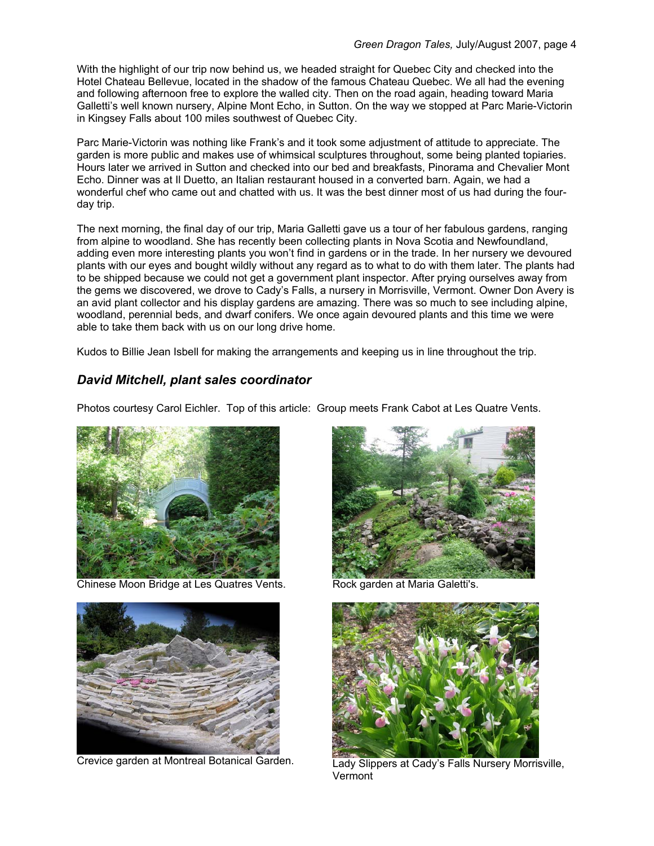With the highlight of our trip now behind us, we headed straight for Quebec City and checked into the Hotel Chateau Bellevue, located in the shadow of the famous Chateau Quebec. We all had the evening and following afternoon free to explore the walled city. Then on the road again, heading toward Maria Galletti's well known nursery, Alpine Mont Echo, in Sutton. On the way we stopped at Parc Marie-Victorin in Kingsey Falls about 100 miles southwest of Quebec City.

Parc Marie-Victorin was nothing like Frank's and it took some adjustment of attitude to appreciate. The garden is more public and makes use of whimsical sculptures throughout, some being planted topiaries. Hours later we arrived in Sutton and checked into our bed and breakfasts, Pinorama and Chevalier Mont Echo. Dinner was at Il Duetto, an Italian restaurant housed in a converted barn. Again, we had a wonderful chef who came out and chatted with us. It was the best dinner most of us had during the fourday trip.

The next morning, the final day of our trip, Maria Galletti gave us a tour of her fabulous gardens, ranging from alpine to woodland. She has recently been collecting plants in Nova Scotia and Newfoundland, adding even more interesting plants you won't find in gardens or in the trade. In her nursery we devoured plants with our eyes and bought wildly without any regard as to what to do with them later. The plants had to be shipped because we could not get a government plant inspector. After prying ourselves away from the gems we discovered, we drove to Cady's Falls, a nursery in Morrisville, Vermont. Owner Don Avery is an avid plant collector and his display gardens are amazing. There was so much to see including alpine, woodland, perennial beds, and dwarf conifers. We once again devoured plants and this time we were able to take them back with us on our long drive home.

Kudos to Billie Jean Isbell for making the arrangements and keeping us in line throughout the trip.

#### *David Mitchell, plant sales coordinator*

Photos courtesy Carol Eichler. Top of this article: Group meets Frank Cabot at Les Quatre Vents.



Chinese Moon Bridge at Les Quatres Vents. Rock garden at Maria Galetti's.







Crevice garden at Montreal Botanical Garden. Lady Slippers at Cady's Falls Nursery Morrisville, **Vermont**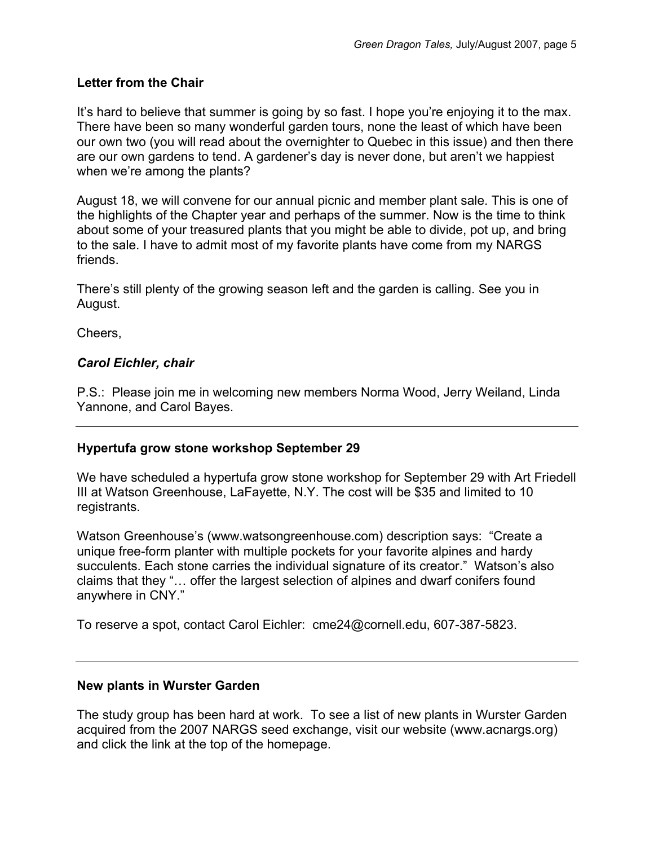## **Letter from the Chair**

It's hard to believe that summer is going by so fast. I hope you're enjoying it to the max. There have been so many wonderful garden tours, none the least of which have been our own two (you will read about the overnighter to Quebec in this issue) and then there are our own gardens to tend. A gardener's day is never done, but aren't we happiest when we're among the plants?

August 18, we will convene for our annual picnic and member plant sale. This is one of the highlights of the Chapter year and perhaps of the summer. Now is the time to think about some of your treasured plants that you might be able to divide, pot up, and bring to the sale. I have to admit most of my favorite plants have come from my NARGS friends.

There's still plenty of the growing season left and the garden is calling. See you in August.

Cheers,

# *Carol Eichler, chair*

P.S.: Please join me in welcoming new members Norma Wood, Jerry Weiland, Linda Yannone, and Carol Bayes.

#### **Hypertufa grow stone workshop September 29**

We have scheduled a hypertufa grow stone workshop for September 29 with Art Friedell III at Watson Greenhouse, LaFayette, N.Y. The cost will be \$35 and limited to 10 registrants.

Watson Greenhouse's (www.watsongreenhouse.com) description says: "Create a unique free-form planter with multiple pockets for your favorite alpines and hardy succulents. Each stone carries the individual signature of its creator." Watson's also claims that they "… offer the largest selection of alpines and dwarf conifers found anywhere in CNY."

To reserve a spot, contact Carol Eichler: cme24@cornell.edu, 607-387-5823.

#### **New plants in Wurster Garden**

The study group has been hard at work. To see a list of new plants in Wurster Garden acquired from the 2007 NARGS seed exchange, visit our website (www.acnargs.org) and click the link at the top of the homepage.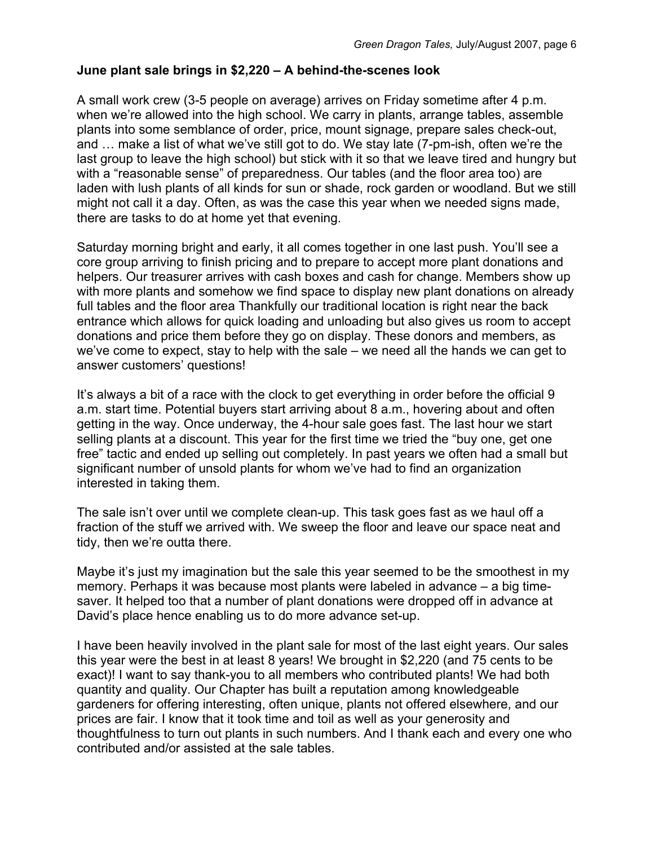# **June plant sale brings in \$2,220 – A behind-the-scenes look**

A small work crew (3-5 people on average) arrives on Friday sometime after 4 p.m. when we're allowed into the high school. We carry in plants, arrange tables, assemble plants into some semblance of order, price, mount signage, prepare sales check-out, and … make a list of what we've still got to do. We stay late (7-pm-ish, often we're the last group to leave the high school) but stick with it so that we leave tired and hungry but with a "reasonable sense" of preparedness. Our tables (and the floor area too) are laden with lush plants of all kinds for sun or shade, rock garden or woodland. But we still might not call it a day. Often, as was the case this year when we needed signs made, there are tasks to do at home yet that evening.

Saturday morning bright and early, it all comes together in one last push. You'll see a core group arriving to finish pricing and to prepare to accept more plant donations and helpers. Our treasurer arrives with cash boxes and cash for change. Members show up with more plants and somehow we find space to display new plant donations on already full tables and the floor area Thankfully our traditional location is right near the back entrance which allows for quick loading and unloading but also gives us room to accept donations and price them before they go on display. These donors and members, as we've come to expect, stay to help with the sale – we need all the hands we can get to answer customers' questions!

It's always a bit of a race with the clock to get everything in order before the official 9 a.m. start time. Potential buyers start arriving about 8 a.m., hovering about and often getting in the way. Once underway, the 4-hour sale goes fast. The last hour we start selling plants at a discount. This year for the first time we tried the "buy one, get one free" tactic and ended up selling out completely. In past years we often had a small but significant number of unsold plants for whom we've had to find an organization interested in taking them.

The sale isn't over until we complete clean-up. This task goes fast as we haul off a fraction of the stuff we arrived with. We sweep the floor and leave our space neat and tidy, then we're outta there.

Maybe it's just my imagination but the sale this year seemed to be the smoothest in my memory. Perhaps it was because most plants were labeled in advance – a big timesaver. It helped too that a number of plant donations were dropped off in advance at David's place hence enabling us to do more advance set-up.

I have been heavily involved in the plant sale for most of the last eight years. Our sales this year were the best in at least 8 years! We brought in \$2,220 (and 75 cents to be exact)! I want to say thank-you to all members who contributed plants! We had both quantity and quality. Our Chapter has built a reputation among knowledgeable gardeners for offering interesting, often unique, plants not offered elsewhere, and our prices are fair. I know that it took time and toil as well as your generosity and thoughtfulness to turn out plants in such numbers. And I thank each and every one who contributed and/or assisted at the sale tables.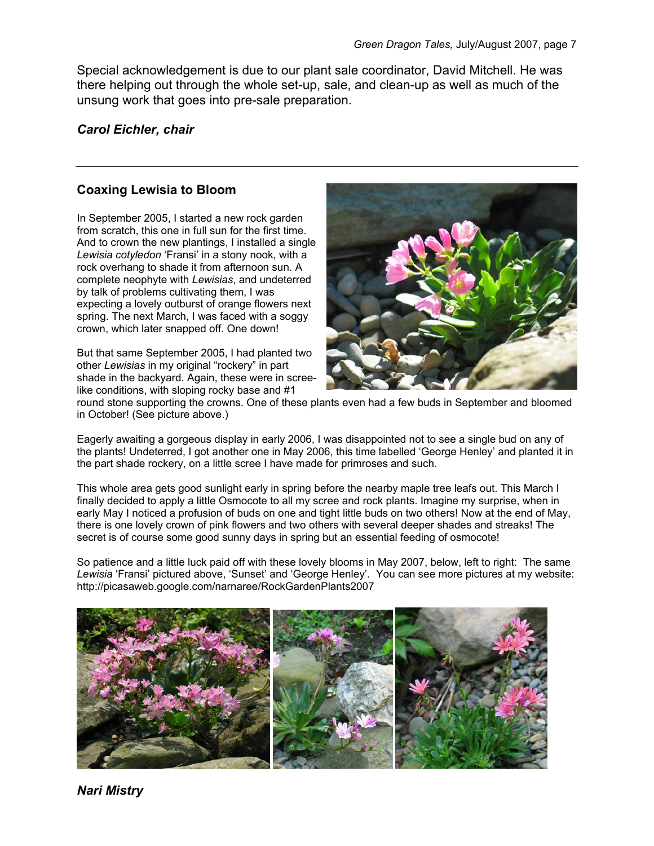Special acknowledgement is due to our plant sale coordinator, David Mitchell. He was there helping out through the whole set-up, sale, and clean-up as well as much of the unsung work that goes into pre-sale preparation.

#### *Carol Eichler, chair*

#### **Coaxing Lewisia to Bloom**

In September 2005, I started a new rock garden from scratch, this one in full sun for the first time. And to crown the new plantings, I installed a single *Lewisia cotyledon* 'Fransi' in a stony nook, with a rock overhang to shade it from afternoon sun. A complete neophyte with *Lewisias*, and undeterred by talk of problems cultivating them, I was expecting a lovely outburst of orange flowers next spring. The next March, I was faced with a soggy crown, which later snapped off. One down!

But that same September 2005, I had planted two other *Lewisias* in my original "rockery" in part shade in the backyard. Again, these were in screelike conditions, with sloping rocky base and #1



round stone supporting the crowns. One of these plants even had a few buds in September and bloomed in October! (See picture above.)

Eagerly awaiting a gorgeous display in early 2006, I was disappointed not to see a single bud on any of the plants! Undeterred, I got another one in May 2006, this time labelled 'George Henley' and planted it in the part shade rockery, on a little scree I have made for primroses and such.

This whole area gets good sunlight early in spring before the nearby maple tree leafs out. This March I finally decided to apply a little Osmocote to all my scree and rock plants. Imagine my surprise, when in early May I noticed a profusion of buds on one and tight little buds on two others! Now at the end of May, there is one lovely crown of pink flowers and two others with several deeper shades and streaks! The secret is of course some good sunny days in spring but an essential feeding of osmocote!

So patience and a little luck paid off with these lovely blooms in May 2007, below, left to right: The same *Lewisia* 'Fransi' pictured above, 'Sunset' and 'George Henley'. You can see more pictures at my website: http://picasaweb.google.com/narnaree/RockGardenPlants2007



*Nari Mistry*